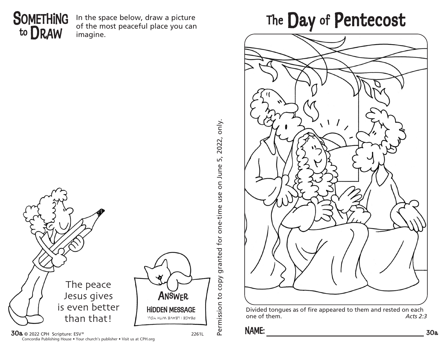

In the space below, draw a picture of the most peaceful place you can imagine.







Divided tongues as of fire appeared to them and rested on each one of them. *Acts 2:3*

 $30a$  © 2022 CPH Scripture: ESV ® 2261L